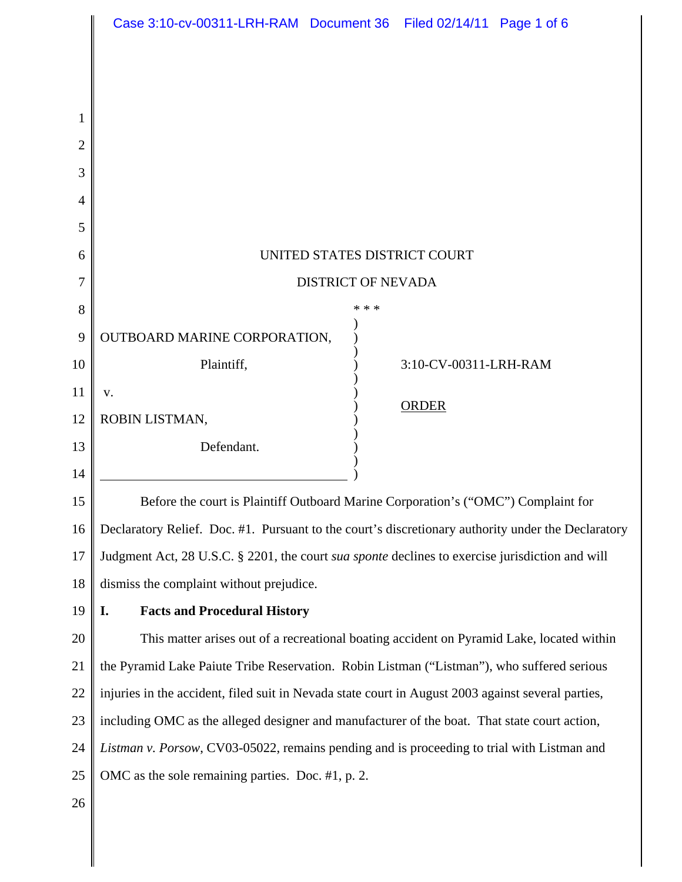|    | Case 3:10-cv-00311-LRH-RAM Document 36 Filed 02/14/11 Page 1 of 6                                  |       |                       |  |
|----|----------------------------------------------------------------------------------------------------|-------|-----------------------|--|
|    |                                                                                                    |       |                       |  |
|    |                                                                                                    |       |                       |  |
| 1  |                                                                                                    |       |                       |  |
| 2  |                                                                                                    |       |                       |  |
| 3  |                                                                                                    |       |                       |  |
| 4  |                                                                                                    |       |                       |  |
| 5  |                                                                                                    |       |                       |  |
| 6  | UNITED STATES DISTRICT COURT                                                                       |       |                       |  |
| 7  | <b>DISTRICT OF NEVADA</b>                                                                          |       |                       |  |
| 8  |                                                                                                    | * * * |                       |  |
| 9  | OUTBOARD MARINE CORPORATION,                                                                       |       |                       |  |
| 10 | Plaintiff,                                                                                         |       | 3:10-CV-00311-LRH-RAM |  |
| 11 | V.                                                                                                 |       | <b>ORDER</b>          |  |
| 12 | ROBIN LISTMAN,                                                                                     |       |                       |  |
| 13 | Defendant.                                                                                         |       |                       |  |
| 14 |                                                                                                    |       |                       |  |
| 15 | Before the court is Plaintiff Outboard Marine Corporation's ("OMC") Complaint for                  |       |                       |  |
| 16 | Declaratory Relief. Doc. #1. Pursuant to the court's discretionary authority under the Declaratory |       |                       |  |
| 17 | Judgment Act, 28 U.S.C. § 2201, the court sua sponte declines to exercise jurisdiction and will    |       |                       |  |
| 18 | dismiss the complaint without prejudice.                                                           |       |                       |  |
| 19 | <b>Facts and Procedural History</b><br>I.                                                          |       |                       |  |
| 20 | This matter arises out of a recreational boating accident on Pyramid Lake, located within          |       |                       |  |
| 21 | the Pyramid Lake Paiute Tribe Reservation. Robin Listman ("Listman"), who suffered serious         |       |                       |  |
| 22 | injuries in the accident, filed suit in Nevada state court in August 2003 against several parties, |       |                       |  |
| 23 | including OMC as the alleged designer and manufacturer of the boat. That state court action,       |       |                       |  |
| 24 | Listman v. Porsow, CV03-05022, remains pending and is proceeding to trial with Listman and         |       |                       |  |
| 25 | OMC as the sole remaining parties. Doc. #1, p. 2.                                                  |       |                       |  |
| 26 |                                                                                                    |       |                       |  |
|    |                                                                                                    |       |                       |  |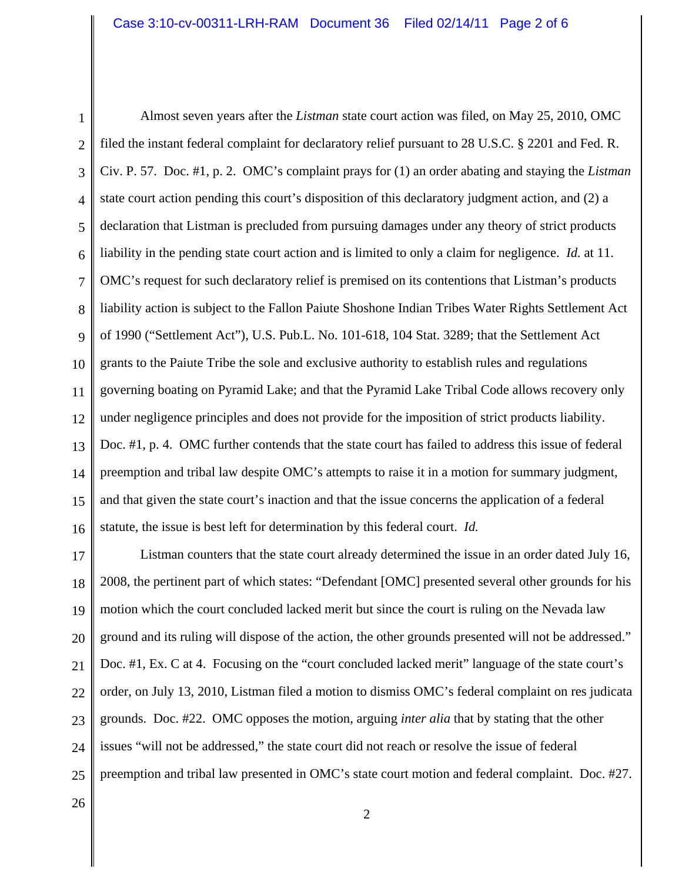1 2 3 4 5 6 7 8 9 10 11 12 13 14 15 16 Almost seven years after the *Listman* state court action was filed, on May 25, 2010, OMC filed the instant federal complaint for declaratory relief pursuant to 28 U.S.C. § 2201 and Fed. R. Civ. P. 57. Doc. #1, p. 2. OMC's complaint prays for (1) an order abating and staying the *Listman* state court action pending this court's disposition of this declaratory judgment action, and (2) a declaration that Listman is precluded from pursuing damages under any theory of strict products liability in the pending state court action and is limited to only a claim for negligence. *Id.* at 11. OMC's request for such declaratory relief is premised on its contentions that Listman's products liability action is subject to the Fallon Paiute Shoshone Indian Tribes Water Rights Settlement Act of 1990 ("Settlement Act"), U.S. Pub.L. No. 101-618, 104 Stat. 3289; that the Settlement Act grants to the Paiute Tribe the sole and exclusive authority to establish rules and regulations governing boating on Pyramid Lake; and that the Pyramid Lake Tribal Code allows recovery only under negligence principles and does not provide for the imposition of strict products liability. Doc. #1, p. 4. OMC further contends that the state court has failed to address this issue of federal preemption and tribal law despite OMC's attempts to raise it in a motion for summary judgment, and that given the state court's inaction and that the issue concerns the application of a federal statute, the issue is best left for determination by this federal court. *Id.*

17 18 19 20 21 22 23 24 25 Listman counters that the state court already determined the issue in an order dated July 16, 2008, the pertinent part of which states: "Defendant [OMC] presented several other grounds for his motion which the court concluded lacked merit but since the court is ruling on the Nevada law ground and its ruling will dispose of the action, the other grounds presented will not be addressed." Doc. #1, Ex. C at 4. Focusing on the "court concluded lacked merit" language of the state court's order, on July 13, 2010, Listman filed a motion to dismiss OMC's federal complaint on res judicata grounds. Doc. #22. OMC opposes the motion, arguing *inter alia* that by stating that the other issues "will not be addressed," the state court did not reach or resolve the issue of federal preemption and tribal law presented in OMC's state court motion and federal complaint. Doc. #27.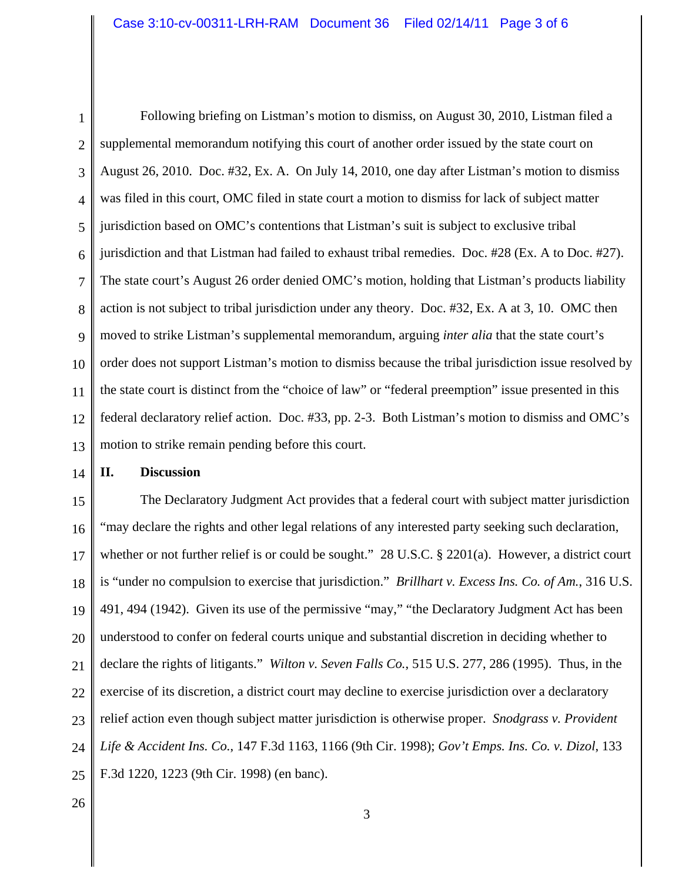1 2 3 4 5 6 7 8 9 10 11 12 13 Following briefing on Listman's motion to dismiss, on August 30, 2010, Listman filed a supplemental memorandum notifying this court of another order issued by the state court on August 26, 2010. Doc. #32, Ex. A. On July 14, 2010, one day after Listman's motion to dismiss was filed in this court, OMC filed in state court a motion to dismiss for lack of subject matter jurisdiction based on OMC's contentions that Listman's suit is subject to exclusive tribal jurisdiction and that Listman had failed to exhaust tribal remedies. Doc. #28 (Ex. A to Doc. #27). The state court's August 26 order denied OMC's motion, holding that Listman's products liability action is not subject to tribal jurisdiction under any theory. Doc. #32, Ex. A at 3, 10. OMC then moved to strike Listman's supplemental memorandum, arguing *inter alia* that the state court's order does not support Listman's motion to dismiss because the tribal jurisdiction issue resolved by the state court is distinct from the "choice of law" or "federal preemption" issue presented in this federal declaratory relief action. Doc. #33, pp. 2-3. Both Listman's motion to dismiss and OMC's motion to strike remain pending before this court.

14

## **II. Discussion**

15 16 17 18 19 20 21 22 23 24 25 The Declaratory Judgment Act provides that a federal court with subject matter jurisdiction "may declare the rights and other legal relations of any interested party seeking such declaration, whether or not further relief is or could be sought." 28 U.S.C.  $\S$  2201(a). However, a district court is "under no compulsion to exercise that jurisdiction." *Brillhart v. Excess Ins. Co. of Am.*, 316 U.S. 491, 494 (1942). Given its use of the permissive "may," "the Declaratory Judgment Act has been understood to confer on federal courts unique and substantial discretion in deciding whether to declare the rights of litigants." *Wilton v. Seven Falls Co.*, 515 U.S. 277, 286 (1995). Thus, in the exercise of its discretion, a district court may decline to exercise jurisdiction over a declaratory relief action even though subject matter jurisdiction is otherwise proper. *Snodgrass v. Provident Life & Accident Ins. Co.*, 147 F.3d 1163, 1166 (9th Cir. 1998); *Gov't Emps. Ins. Co. v. Dizol*, 133 F.3d 1220, 1223 (9th Cir. 1998) (en banc).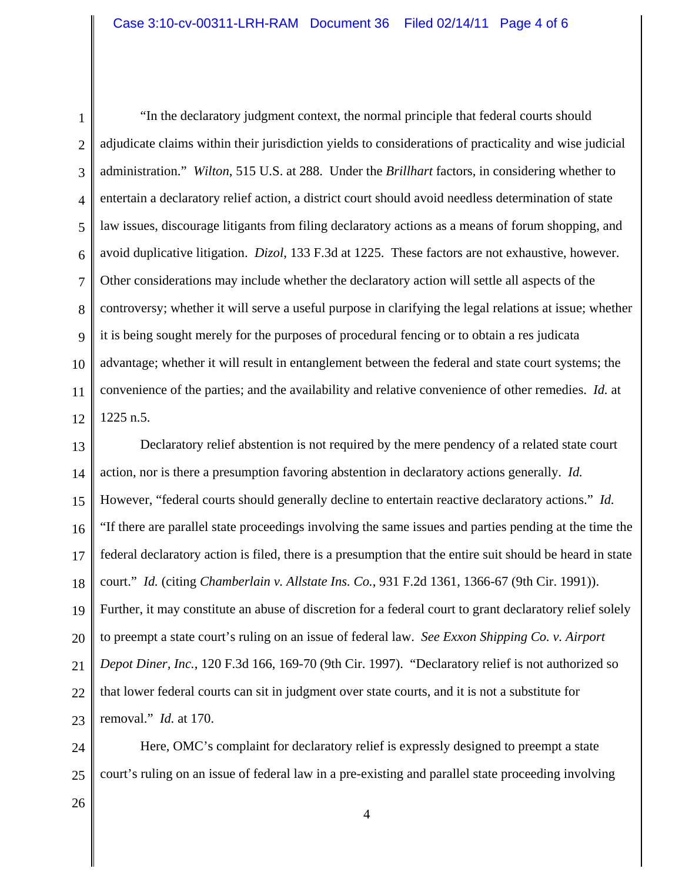1 2 3 4 5 6 7 8 9 10 11 12 "In the declaratory judgment context, the normal principle that federal courts should adjudicate claims within their jurisdiction yields to considerations of practicality and wise judicial administration." *Wilton*, 515 U.S. at 288. Under the *Brillhart* factors, in considering whether to entertain a declaratory relief action, a district court should avoid needless determination of state law issues, discourage litigants from filing declaratory actions as a means of forum shopping, and avoid duplicative litigation. *Dizol*, 133 F.3d at 1225. These factors are not exhaustive, however. Other considerations may include whether the declaratory action will settle all aspects of the controversy; whether it will serve a useful purpose in clarifying the legal relations at issue; whether it is being sought merely for the purposes of procedural fencing or to obtain a res judicata advantage; whether it will result in entanglement between the federal and state court systems; the convenience of the parties; and the availability and relative convenience of other remedies. *Id.* at 1225 n.5.

13 14 15 16 17 18 19 20 21 22 23 Declaratory relief abstention is not required by the mere pendency of a related state court action, nor is there a presumption favoring abstention in declaratory actions generally. *Id.* However, "federal courts should generally decline to entertain reactive declaratory actions." *Id.* "If there are parallel state proceedings involving the same issues and parties pending at the time the federal declaratory action is filed, there is a presumption that the entire suit should be heard in state court." *Id.* (citing *Chamberlain v. Allstate Ins. Co.*, 931 F.2d 1361, 1366-67 (9th Cir. 1991)). Further, it may constitute an abuse of discretion for a federal court to grant declaratory relief solely to preempt a state court's ruling on an issue of federal law. *See Exxon Shipping Co. v. Airport Depot Diner, Inc.*, 120 F.3d 166, 169-70 (9th Cir. 1997). "Declaratory relief is not authorized so that lower federal courts can sit in judgment over state courts, and it is not a substitute for removal." *Id.* at 170.

24 25 Here, OMC's complaint for declaratory relief is expressly designed to preempt a state court's ruling on an issue of federal law in a pre-existing and parallel state proceeding involving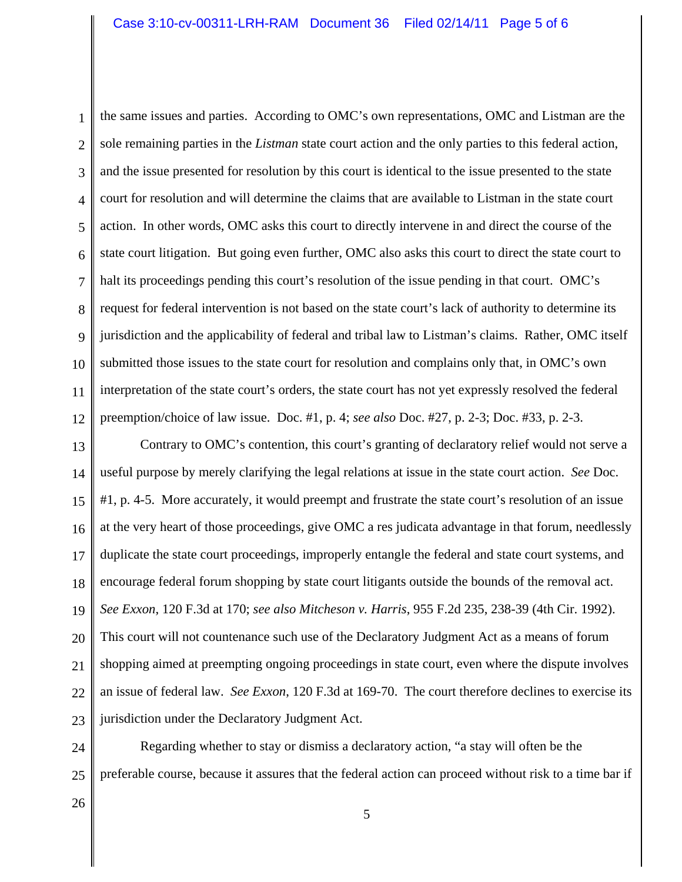1 2 3 4 5 6 7 8 9 10 11 12 the same issues and parties. According to OMC's own representations, OMC and Listman are the sole remaining parties in the *Listman* state court action and the only parties to this federal action, and the issue presented for resolution by this court is identical to the issue presented to the state court for resolution and will determine the claims that are available to Listman in the state court action. In other words, OMC asks this court to directly intervene in and direct the course of the state court litigation. But going even further, OMC also asks this court to direct the state court to halt its proceedings pending this court's resolution of the issue pending in that court. OMC's request for federal intervention is not based on the state court's lack of authority to determine its jurisdiction and the applicability of federal and tribal law to Listman's claims. Rather, OMC itself submitted those issues to the state court for resolution and complains only that, in OMC's own interpretation of the state court's orders, the state court has not yet expressly resolved the federal preemption/choice of law issue. Doc. #1, p. 4; *see also* Doc. #27, p. 2-3; Doc. #33, p. 2-3.

13 14 15 16 17 18 19 20 21 22 23 Contrary to OMC's contention, this court's granting of declaratory relief would not serve a useful purpose by merely clarifying the legal relations at issue in the state court action. *See* Doc. #1, p. 4-5. More accurately, it would preempt and frustrate the state court's resolution of an issue at the very heart of those proceedings, give OMC a res judicata advantage in that forum, needlessly duplicate the state court proceedings, improperly entangle the federal and state court systems, and encourage federal forum shopping by state court litigants outside the bounds of the removal act. *See Exxon*, 120 F.3d at 170; *see also Mitcheson v. Harris*, 955 F.2d 235, 238-39 (4th Cir. 1992). This court will not countenance such use of the Declaratory Judgment Act as a means of forum shopping aimed at preempting ongoing proceedings in state court, even where the dispute involves an issue of federal law. *See Exxon*, 120 F.3d at 169-70. The court therefore declines to exercise its jurisdiction under the Declaratory Judgment Act.

24 25 Regarding whether to stay or dismiss a declaratory action, "a stay will often be the preferable course, because it assures that the federal action can proceed without risk to a time bar if